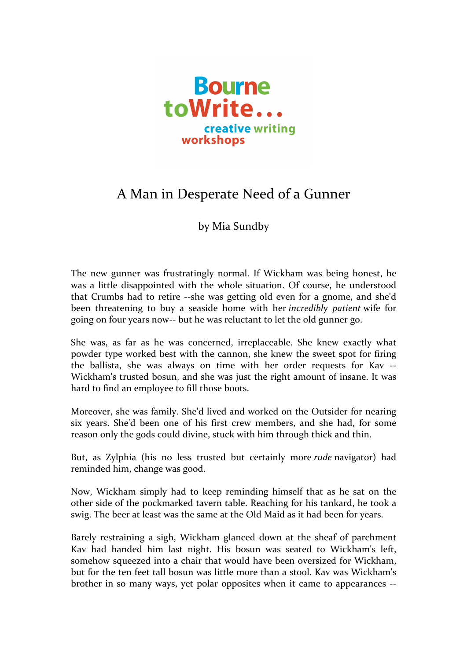

## A Man in Desperate Need of a Gunner

## by Mia Sundby

The new gunner was frustratingly normal. If Wickham was being honest, he was a little disappointed with the whole situation. Of course, he understood that Crumbs had to retire --she was getting old even for a gnome, and she'd been threatening to buy a seaside home with her *incredibly patient* wife for going on four years now-- but he was reluctant to let the old gunner go.

She was, as far as he was concerned, irreplaceable. She knew exactly what powder type worked best with the cannon, she knew the sweet spot for firing the ballista, she was always on time with her order requests for Kav --Wickham's trusted bosun, and she was just the right amount of insane. It was hard to find an employee to fill those boots.

Moreover, she was family. She'd lived and worked on the Outsider for nearing six years. She'd been one of his first crew members, and she had, for some reason only the gods could divine, stuck with him through thick and thin.

But, as Zylphia (his no less trusted but certainly more *rude* navigator) had reminded him, change was good.

Now, Wickham simply had to keep reminding himself that as he sat on the other side of the pockmarked tavern table. Reaching for his tankard, he took a swig. The beer at least was the same at the Old Maid as it had been for years.

Barely restraining a sigh, Wickham glanced down at the sheaf of parchment Kav had handed him last night. His bosun was seated to Wickham's left, somehow squeezed into a chair that would have been oversized for Wickham, but for the ten feet tall bosun was little more than a stool. Kav was Wickham's brother in so many ways, yet polar opposites when it came to appearances --